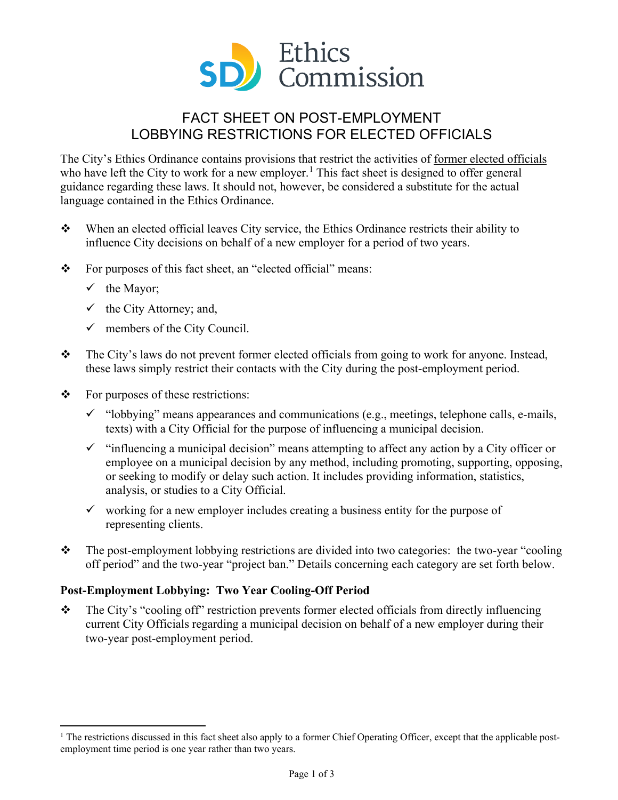

# FACT SHEET ON POST-EMPLOYMENT LOBBYING RESTRICTIONS FOR ELECTED OFFICIALS

The City's Ethics Ordinance contains provisions that restrict the activities of former elected officials who have left the City to work for a new employer.<sup>[1](#page-0-0)</sup> This fact sheet is designed to offer general guidance regarding these laws. It should not, however, be considered a substitute for the actual language contained in the Ethics Ordinance.

- When an elected official leaves City service, the Ethics Ordinance restricts their ability to influence City decisions on behalf of a new employer for a period of two years.
- $\mathbf{\hat{P}}$  For purposes of this fact sheet, an "elected official" means:
	- $\checkmark$  the Mayor;
	- $\checkmark$  the City Attorney; and,
	- $\checkmark$  members of the City Council.
- \* The City's laws do not prevent former elected officials from going to work for anyone. Instead, these laws simply restrict their contacts with the City during the post-employment period.
- $\mathbf{\hat{P}}$  For purposes of these restrictions:
	- $\checkmark$  "lobbying" means appearances and communications (e.g., meetings, telephone calls, e-mails, texts) with a City Official for the purpose of influencing a municipal decision.
	- $\checkmark$  "influencing a municipal decision" means attempting to affect any action by a City officer or employee on a municipal decision by any method, including promoting, supporting, opposing, or seeking to modify or delay such action. It includes providing information, statistics, analysis, or studies to a City Official.
	- $\checkmark$  working for a new employer includes creating a business entity for the purpose of representing clients.
- \* The post-employment lobbying restrictions are divided into two categories: the two-year "cooling" off period" and the two-year "project ban." Details concerning each category are set forth below.

## **Post-Employment Lobbying: Two Year Cooling-Off Period**

 $\triangle$  The City's "cooling off" restriction prevents former elected officials from directly influencing current City Officials regarding a municipal decision on behalf of a new employer during their two-year post-employment period.

<span id="page-0-0"></span> $<sup>1</sup>$  The restrictions discussed in this fact sheet also apply to a former Chief Operating Officer, except that the applicable post-</sup> employment time period is one year rather than two years.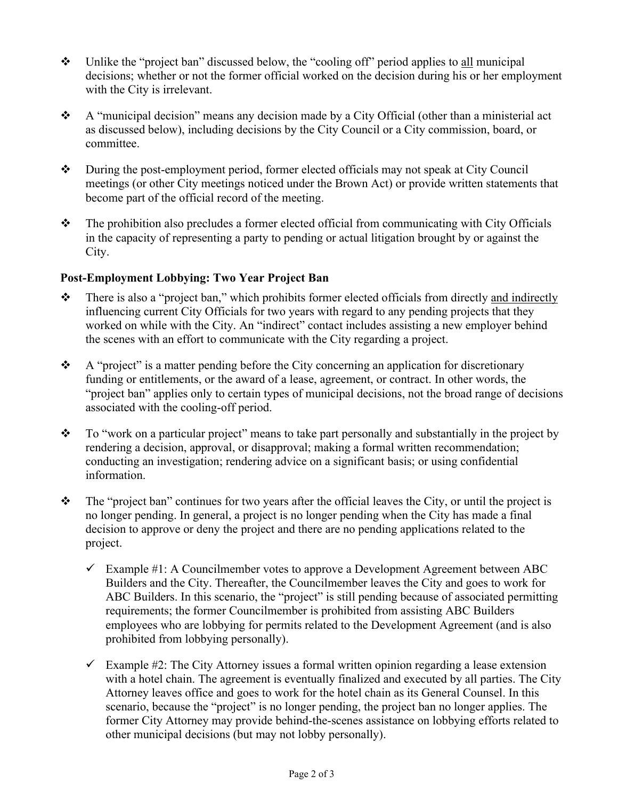- $\bullet$  Unlike the "project ban" discussed below, the "cooling off" period applies to all municipal decisions; whether or not the former official worked on the decision during his or her employment with the City is irrelevant.
- $\bullet$  A "municipal decision" means any decision made by a City Official (other than a ministerial act as discussed below), including decisions by the City Council or a City commission, board, or committee.
- During the post-employment period, former elected officials may not speak at City Council meetings (or other City meetings noticed under the Brown Act) or provide written statements that become part of the official record of the meeting.
- $\mathbf{\hat{P}}$  The prohibition also precludes a former elected official from communicating with City Officials in the capacity of representing a party to pending or actual litigation brought by or against the City.

## **Post-Employment Lobbying: Two Year Project Ban**

- $\bullet$  There is also a "project ban," which prohibits former elected officials from directly and indirectly influencing current City Officials for two years with regard to any pending projects that they worked on while with the City. An "indirect" contact includes assisting a new employer behind the scenes with an effort to communicate with the City regarding a project.
- $\bullet$  A "project" is a matter pending before the City concerning an application for discretionary funding or entitlements, or the award of a lease, agreement, or contract. In other words, the "project ban" applies only to certain types of municipal decisions, not the broad range of decisions associated with the cooling-off period.
- \* To "work on a particular project" means to take part personally and substantially in the project by rendering a decision, approval, or disapproval; making a formal written recommendation; conducting an investigation; rendering advice on a significant basis; or using confidential information.
- $\hat{\mathbf{v}}$  The "project ban" continues for two years after the official leaves the City, or until the project is no longer pending. In general, a project is no longer pending when the City has made a final decision to approve or deny the project and there are no pending applications related to the project.
	- $\checkmark$  Example #1: A Councilmember votes to approve a Development Agreement between ABC Builders and the City. Thereafter, the Councilmember leaves the City and goes to work for ABC Builders. In this scenario, the "project" is still pending because of associated permitting requirements; the former Councilmember is prohibited from assisting ABC Builders employees who are lobbying for permits related to the Development Agreement (and is also prohibited from lobbying personally).
	- $\checkmark$  Example #2: The City Attorney issues a formal written opinion regarding a lease extension with a hotel chain. The agreement is eventually finalized and executed by all parties. The City Attorney leaves office and goes to work for the hotel chain as its General Counsel. In this scenario, because the "project" is no longer pending, the project ban no longer applies. The former City Attorney may provide behind-the-scenes assistance on lobbying efforts related to other municipal decisions (but may not lobby personally).